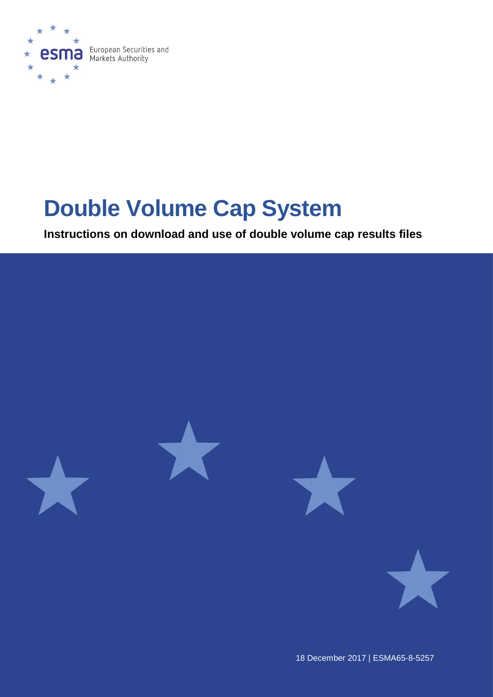

# **Double Volume Cap System**

**Instructions on download and use of double volume cap results files**



18 December 2017 | ESMA65-8-5257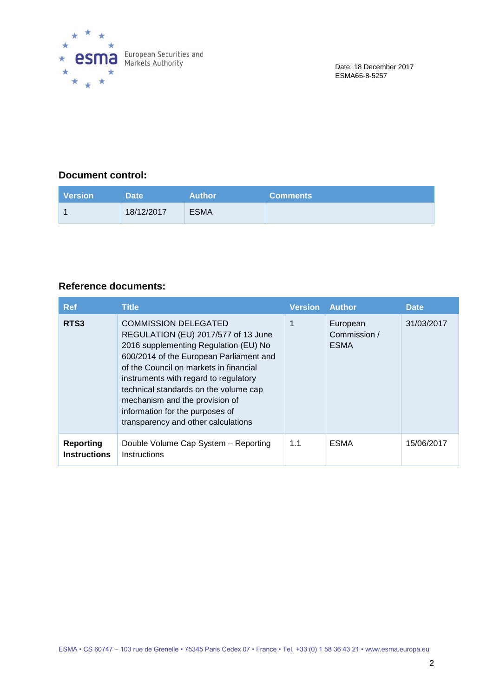

## **Document control:**

| <b>Version</b> | Date '     | <b>Author</b> | <b>Comments</b> |
|----------------|------------|---------------|-----------------|
|                | 18/12/2017 | <b>ESMA</b>   |                 |

## **Reference documents:**

| <b>Ref</b>                              | <b>Title</b>                                                                                                                                                                                                                                                                                                                                                                                   | <b>Version</b> | <b>Author</b>                           | <b>Date</b> |
|-----------------------------------------|------------------------------------------------------------------------------------------------------------------------------------------------------------------------------------------------------------------------------------------------------------------------------------------------------------------------------------------------------------------------------------------------|----------------|-----------------------------------------|-------------|
| RTS3                                    | <b>COMMISSION DELEGATED</b><br>REGULATION (EU) 2017/577 of 13 June<br>2016 supplementing Regulation (EU) No<br>600/2014 of the European Parliament and<br>of the Council on markets in financial<br>instruments with regard to regulatory<br>technical standards on the volume cap<br>mechanism and the provision of<br>information for the purposes of<br>transparency and other calculations |                | European<br>Commission /<br><b>ESMA</b> | 31/03/2017  |
| <b>Reporting</b><br><b>Instructions</b> | Double Volume Cap System - Reporting<br>Instructions                                                                                                                                                                                                                                                                                                                                           | 1.1            | <b>ESMA</b>                             | 15/06/2017  |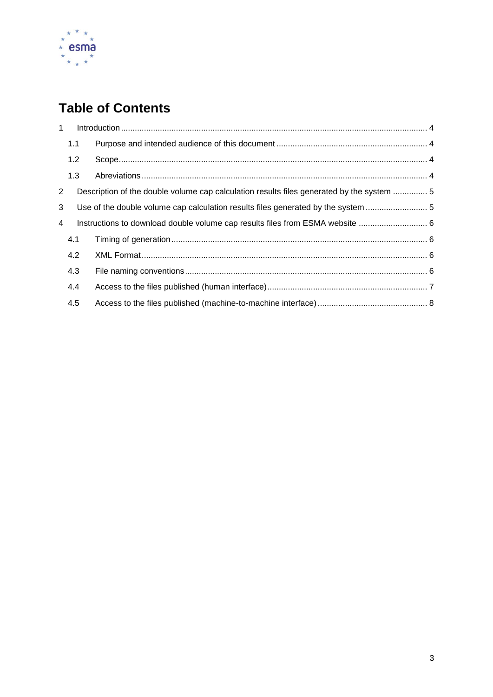

## **Table of Contents**

| $\mathbf{1}$   |     |                                                                                           |  |
|----------------|-----|-------------------------------------------------------------------------------------------|--|
|                | 1.1 |                                                                                           |  |
|                | 1.2 |                                                                                           |  |
|                | 1.3 |                                                                                           |  |
| $\overline{2}$ |     | Description of the double volume cap calculation results files generated by the system  5 |  |
| 3              |     | Use of the double volume cap calculation results files generated by the system            |  |
| 4              |     | Instructions to download double volume cap results files from ESMA website  6             |  |
|                | 4.1 |                                                                                           |  |
|                | 4.2 |                                                                                           |  |
|                | 4.3 |                                                                                           |  |
|                | 4.4 |                                                                                           |  |
|                | 4.5 |                                                                                           |  |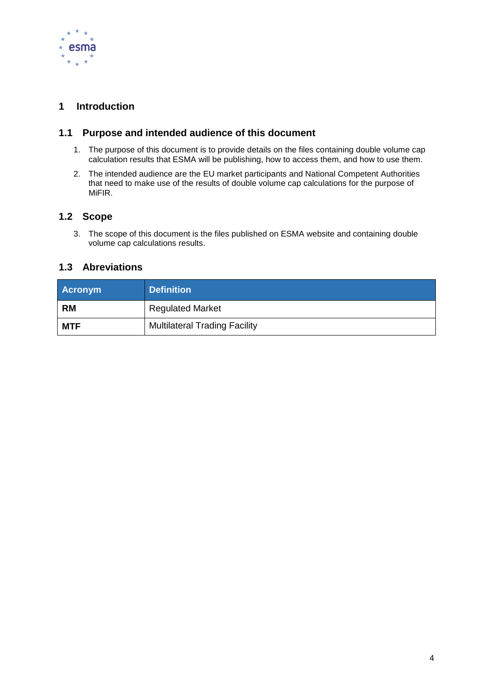

## <span id="page-3-0"></span>**1 Introduction**

### <span id="page-3-1"></span>**1.1 Purpose and intended audience of this document**

- 1. The purpose of this document is to provide details on the files containing double volume cap calculation results that ESMA will be publishing, how to access them, and how to use them.
- 2. The intended audience are the EU market participants and National Competent Authorities that need to make use of the results of double volume cap calculations for the purpose of MiFIR.

### <span id="page-3-2"></span>**1.2 Scope**

3. The scope of this document is the files published on ESMA website and containing double volume cap calculations results.

### <span id="page-3-3"></span>**1.3 Abreviations**

| <b>Acronym</b> | <b>Definition</b>                    |
|----------------|--------------------------------------|
| <b>RM</b>      | <b>Regulated Market</b>              |
| <b>MTF</b>     | <b>Multilateral Trading Facility</b> |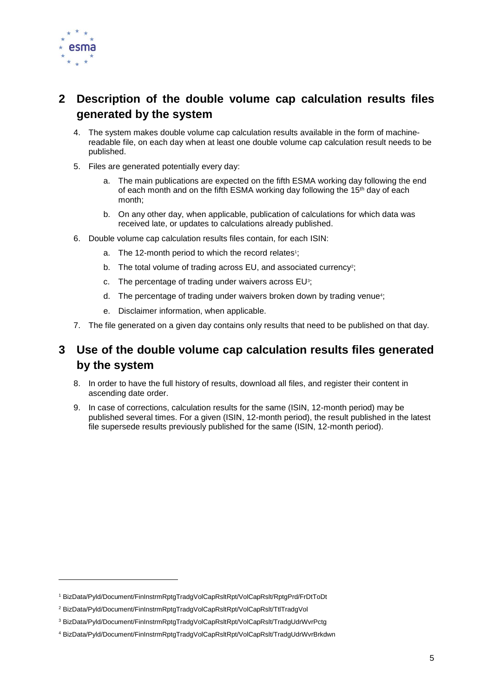

l

## <span id="page-4-0"></span>**2 Description of the double volume cap calculation results files generated by the system**

- 4. The system makes double volume cap calculation results available in the form of machinereadable file, on each day when at least one double volume cap calculation result needs to be published.
- 5. Files are generated potentially every day:
	- a. The main publications are expected on the fifth ESMA working day following the end of each month and on the fifth ESMA working day following the 15<sup>th</sup> day of each month;
	- b. On any other day, when applicable, publication of calculations for which data was received late, or updates to calculations already published.
- 6. Double volume cap calculation results files contain, for each ISIN:
	- a. The 12-month period to which the record relates<sup>1</sup>;
	- b. The total volume of trading across EU, and associated currency<sup>2</sup>;
	- c. The percentage of trading under waivers across EU<sup>3</sup>;
	- d. The percentage of trading under waivers broken down by trading venue<sup>4</sup>;
	- e. Disclaimer information, when applicable.
- 7. The file generated on a given day contains only results that need to be published on that day.

## <span id="page-4-1"></span>**3 Use of the double volume cap calculation results files generated by the system**

- 8. In order to have the full history of results, download all files, and register their content in ascending date order.
- 9. In case of corrections, calculation results for the same (ISIN, 12-month period) may be published several times. For a given (ISIN, 12-month period), the result published in the latest file supersede results previously published for the same (ISIN, 12-month period).

<sup>1</sup> BizData/Pyld/Document/FinInstrmRptgTradgVolCapRsltRpt/VolCapRslt/RptgPrd/FrDtToDt

<sup>2</sup> BizData/Pyld/Document/FinInstrmRptgTradgVolCapRsltRpt/VolCapRslt/TtlTradgVol

<sup>3</sup> BizData/Pyld/Document/FinInstrmRptgTradgVolCapRsltRpt/VolCapRslt/TradgUdrWvrPctg

<sup>4</sup> BizData/Pyld/Document/FinInstrmRptgTradgVolCapRsltRpt/VolCapRslt/TradgUdrWvrBrkdwn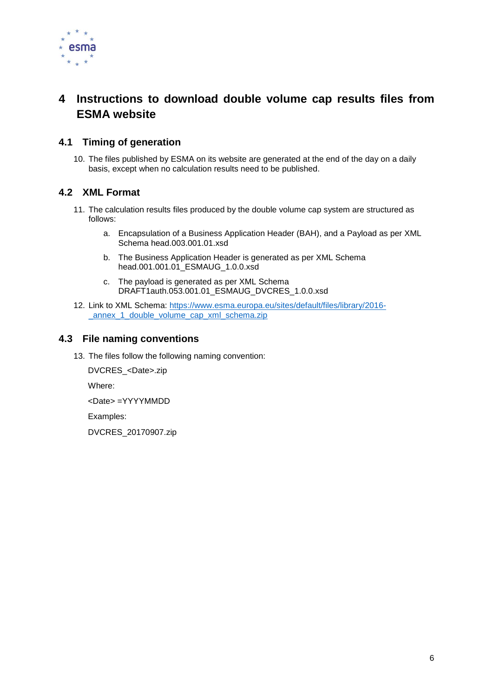

## <span id="page-5-0"></span>**4 Instructions to download double volume cap results files from ESMA website**

## <span id="page-5-1"></span>**4.1 Timing of generation**

10. The files published by ESMA on its website are generated at the end of the day on a daily basis, except when no calculation results need to be published.

## <span id="page-5-2"></span>**4.2 XML Format**

- 11. The calculation results files produced by the double volume cap system are structured as follows:
	- a. Encapsulation of a Business Application Header (BAH), and a Payload as per XML Schema head.003.001.01.xsd
	- b. The Business Application Header is generated as per XML Schema head.001.001.01\_ESMAUG\_1.0.0.xsd
	- c. The payload is generated as per XML Schema DRAFT1auth.053.001.01\_ESMAUG\_DVCRES\_1.0.0.xsd
- 12. Link to XML Schema: [https://www.esma.europa.eu/sites/default/files/library/2016](https://www.esma.europa.eu/sites/default/files/library/2016-_annex_1_double_volume_cap_xml_schema.zip) annex 1 double volume cap xml schema.zip

### <span id="page-5-3"></span>**4.3 File naming conventions**

13. The files follow the following naming convention:

DVCRES\_<Date>.zip

Where:

<Date> =YYYYMMDD

Examples:

DVCRES\_20170907.zip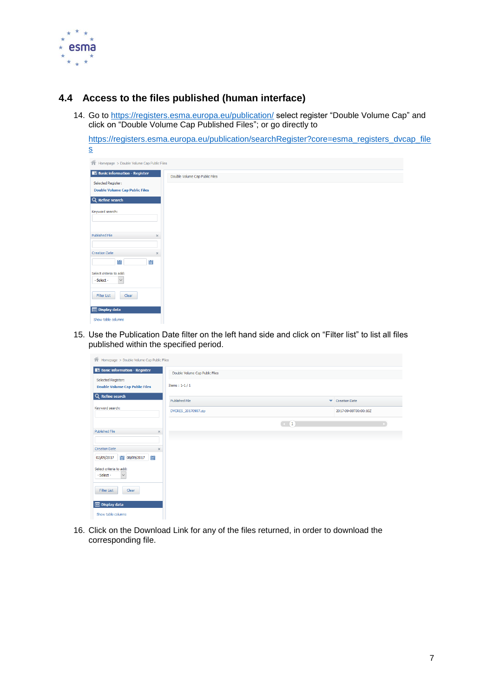

## <span id="page-6-0"></span>**4.4 Access to the files published (human interface)**

14. Go to<https://registers.esma.europa.eu/publication/> select register "Double Volume Cap" and click on "Double Volume Cap Published Files"; or go directly to

[https://registers.esma.europa.eu/publication/searchRegister?core=esma\\_registers\\_dvcap\\_file](https://registers.esma.europa.eu/publication/searchRegister?core=esma_registers_dvcap_files) [s](https://registers.esma.europa.eu/publication/searchRegister?core=esma_registers_dvcap_files)

| <b>合</b> Homepage > Double Volume Cap Public Files |
|----------------------------------------------------|
|                                                    |
| Double Volume Cap Public Files                     |
|                                                    |
|                                                    |
|                                                    |
|                                                    |
|                                                    |
|                                                    |
|                                                    |
|                                                    |
|                                                    |
|                                                    |
|                                                    |
|                                                    |
|                                                    |
|                                                    |
|                                                    |
|                                                    |
|                                                    |
|                                                    |
|                                                    |
|                                                    |
|                                                    |
|                                                    |
|                                                    |
|                                                    |

15. Use the Publication Date filter on the left hand side and click on "Filter list" to list all files published within the specified period.

| <b>合</b> Homepage > Double Volume Cap Public Files          |                                        |                      |  |
|-------------------------------------------------------------|----------------------------------------|----------------------|--|
| <b>Basic information - Register</b>                         | Double Volume Cap Public Files         |                      |  |
| Selected Register:<br><b>Double Volume Cap Public Files</b> | Items: $1-1/1$                         |                      |  |
| Q Refine search                                             | Published File<br>$\blacktriangledown$ | <b>Creation Date</b> |  |
| Keyword search:                                             | DVCRES_20170907.zip                    | 2017-09-08T00:00:10Z |  |
|                                                             | $\left( -\right)$ (1)                  |                      |  |
| Published File<br>$\times$                                  |                                        |                      |  |
| <b>Creation Date</b><br>$\times$                            |                                        |                      |  |
| 鼺<br>圖 08/09/2017<br>02/09/2017                             |                                        |                      |  |
| Select criteria to add:<br>- Select -<br>$\checkmark$       |                                        |                      |  |
| Clear<br>Filter List                                        |                                        |                      |  |
| <b>Display data</b>                                         |                                        |                      |  |
| Show table columns                                          |                                        |                      |  |

16. Click on the Download Link for any of the files returned, in order to download the corresponding file.